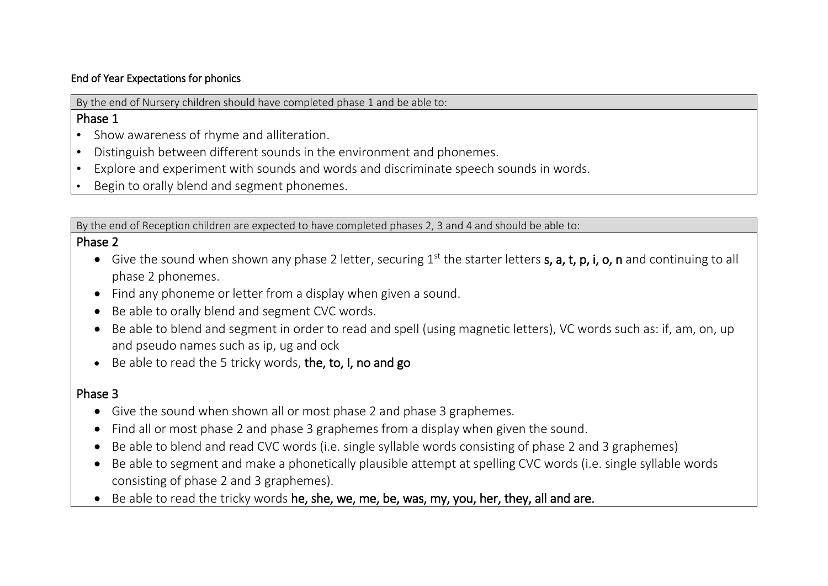#### End of Year Expectations for phonics

By the end of Nursery children should have completed phase 1 and be able to:

### Phase 1

- Show awareness of rhyme and alliteration.
- Distinguish between different sounds in the environment and phonemes.
- Explore and experiment with sounds and words and discriminate speech sounds in words.
- Begin to orally blend and segment phonemes.

By the end of Reception children are expected to have completed phases 2, 3 and 4 and should be able to:

### Phase 2

- Give the sound when shown any phase 2 letter, securing  $1<sup>st</sup>$  the starter letters s, a, t, p, i, o, n and continuing to all phase 2 phonemes.
- Find any phoneme or letter from a display when given a sound.
- Be able to orally blend and segment CVC words.
- Be able to blend and segment in order to read and spell (using magnetic letters), VC words such as: if, am, on, up and pseudo names such as ip, ug and ock
- Be able to read the 5 tricky words, the, to, I, no and go

# Phase 3

- Give the sound when shown all or most phase 2 and phase 3 graphemes.
- Find all or most phase 2 and phase 3 graphemes from a display when given the sound.
- Be able to blend and read CVC words (i.e. single syllable words consisting of phase 2 and 3 graphemes)
- Be able to segment and make a phonetically plausible attempt at spelling CVC words (i.e. single syllable words consisting of phase 2 and 3 graphemes).
- Be able to read the tricky words he, she, we, me, be, was, my, you, her, they, all and are.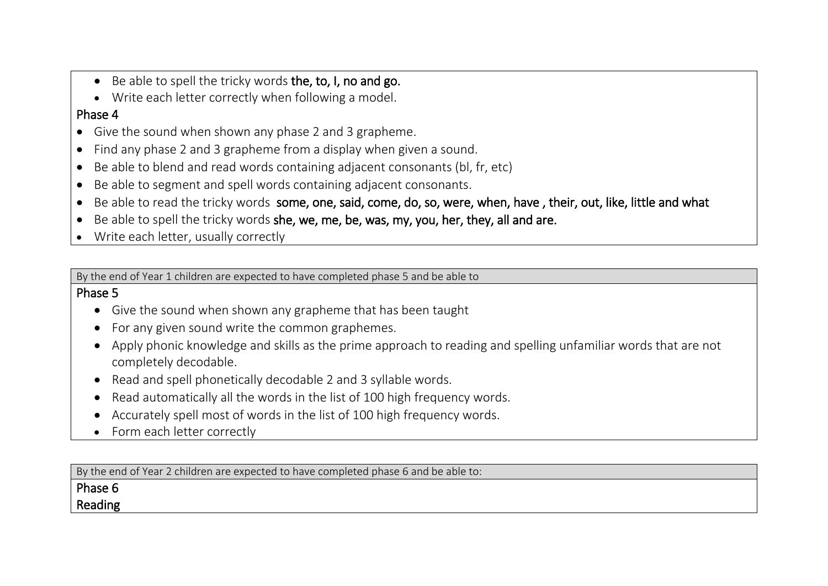- Be able to spell the tricky words the, to, I, no and go.
- Write each letter correctly when following a model.

### Phase 4

- Give the sound when shown any phase 2 and 3 grapheme.
- Find any phase 2 and 3 grapheme from a display when given a sound.
- Be able to blend and read words containing adjacent consonants (bl, fr, etc)
- Be able to segment and spell words containing adjacent consonants.
- Be able to read the tricky words some, one, said, come, do, so, were, when, have , their, out, like, little and what
- Be able to spell the tricky words she, we, me, be, was, my, you, her, they, all and are.
- Write each letter, usually correctly

By the end of Year 1 children are expected to have completed phase 5 and be able to

#### Phase 5

- Give the sound when shown any grapheme that has been taught
- For any given sound write the common graphemes.
- Apply phonic knowledge and skills as the prime approach to reading and spelling unfamiliar words that are not completely decodable.
- Read and spell phonetically decodable 2 and 3 syllable words.
- Read automatically all the words in the list of 100 high frequency words.
- Accurately spell most of words in the list of 100 high frequency words.
- Form each letter correctly

By the end of Year 2 children are expected to have completed phase 6 and be able to:

# Phase 6

#### Reading